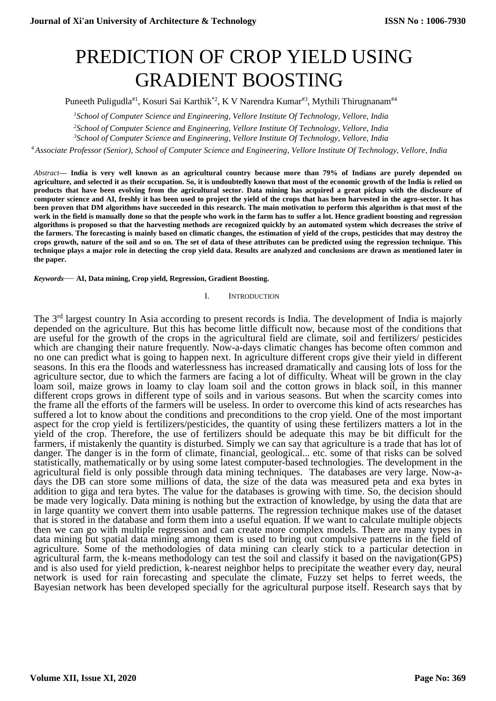# PREDICTION OF CROP YIELD USING GRADIENT BOOSTING

Puneeth Puligudla<sup>#1</sup>, Kosuri Sai Karthik<sup>\*2</sup>, K V Narendra Kumar<sup>#3</sup>, Mythili Thirugnanam<sup>#4</sup>

*<sup>1</sup>School of Computer Science and Engineering, Vellore Institute Of Technology, Vellore, India*

*<sup>2</sup>School of Computer Science and Engineering, Vellore Institute Of Technology, Vellore, India*

*<sup>3</sup>School of Computer Science and Engineering, Vellore Institute Of Technology, Vellore, India*

*<sup>4</sup> Associate Professor (Senior), School of Computer Science and Engineering, Vellore Institute Of Technology, Vellore, India*

*Abstract***— India is very well known as an agricultural country because more than 79% of Indians are purely depended on agriculture, and selected it as their occupation. So, it is undoubtedly known that most of the economic growth of the India is relied on products that have been evolving from the agricultural sector. Data mining has acquired a great pickup with the disclosure of computer science and AI, freshly it has been used to project the yield of the crops that has been harvested in the agro-sector. It has been proven that DM algorithms have succeeded in this research. The main motivation to perform this algorithm is that most of the work in the field is manually done so that the people who work in the farm has to suffer a lot. Hence gradient boosting and regression algorithms is proposed so that the harvesting methods are recognized quickly by an automated system which decreases the strive of the farmers. The forecasting is mainly based on climatic changes, the estimation of yield of the crops, pesticides that may destroy the crops growth, nature of the soil and so on. The set of data of these attributes can be predicted using the regression technique. This technique plays a major role in detecting the crop yield data. Results are analyzed and conclusions are drawn as mentioned later in the paper.**

*Keywords*— **AI, Data mining, Crop yield, Regression, Gradient Boosting.**

#### I. INTRODUCTION

The 3<sup>rd</sup> largest country In Asia according to present records is India. The development of India is majorly depended on the agriculture. But this has become little difficult now, because most of the conditions that are useful for the growth of the crops in the agricultural field are climate, soil and fertilizers/ pesticides which are changing their nature frequently. Now-a-days climatic changes has become often common and no one can predict what is going to happen next. In agriculture different crops give their yield in different seasons. In this era the floods and waterlessness has increased dramatically and causing lots of loss for the agriculture sector, due to which the farmers are facing a lot of difficulty. Wheat will be grown in the clay loam soil, maize grows in loamy to clay loam soil and the cotton grows in black soil, in this manner different crops grows in different type of soils and in various seasons. But when the scarcity comes into the frame all the efforts of the farmers will be useless. In order to overcome this kind of acts researches has suffered a lot to know about the conditions and preconditions to the crop yield. One of the most important aspect for the crop yield is fertilizers/pesticides, the quantity of using these fertilizers matters a lot in the yield of the crop. Therefore, the use of fertilizers should be adequate this may be bit difficult for the farmers, if mistakenly the quantity is disturbed. Simply we can say that agriculture is a trade that has lot of danger. The danger is in the form of climate, financial, geological... etc. some of that risks can be solved statistically, mathematically or by using some latest computer-based technologies. The development in the agricultural field is only possible through data mining techniques. The databases are very large. Now-adays the DB can store some millions of data, the size of the data was measured peta and exa bytes in addition to giga and tera bytes. The value for the databases is growing with time. So, the decision should be made very logically. Data mining is nothing but the extraction of knowledge, by using the data that are in large quantity we convert them into usable patterns. The regression technique makes use of the dataset that is stored in the database and form them into a useful equation. If we want to calculate multiple objects then we can go with multiple regression and can create more complex models. There are many types in data mining but spatial data mining among them is used to bring out compulsive patterns in the field of agriculture. Some of the methodologies of data mining can clearly stick to a particular detection in agricultural farm, the k-means methodology can test the soil and classify it based on the navigation(GPS) and is also used for yield prediction, k-nearest neighbor helps to precipitate the weather every day, neural network is used for rain forecasting and speculate the climate, Fuzzy set helps to ferret weeds, the Bayesian network has been developed specially for the agricultural purpose itself. Research says that by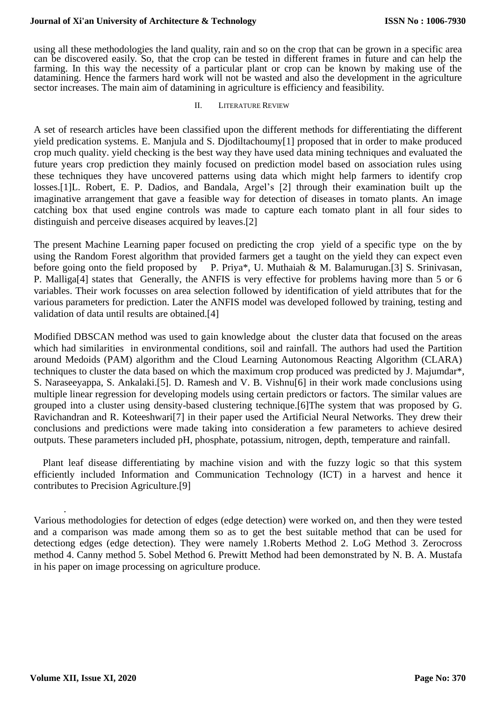## **Journal of Xi'an University of Architecture & Technology**

using all these methodologies the land quality, rain and so on the crop that can be grown in a specific area can be discovered easily. So, that the crop can be tested in different frames in future and can help the farming. In this way the necessity of a particular plant or crop can be known by making use of the datamining. Hence the farmers hard work will not be wasted and also the development in the agriculture sector increases. The main aim of datamining in agriculture is efficiency and feasibility.

#### II. LITERATURE REVIEW

A set of research articles have been classified upon the different methods for differentiating the different yield predication systems. E. Manjula and S. Djodiltachoumy[1] proposed that in order to make produced crop much quality. yield checking is the best way they have used data mining techniques and evaluated the future years crop prediction they mainly focused on prediction model based on association rules using these techniques they have uncovered patterns using data which might help farmers to identify crop losses.[1]L. Robert, E. P. Dadios, and Bandala, Argel's [2] through their examination built up the imaginative arrangement that gave a feasible way for detection of diseases in tomato plants. An image catching box that used engine controls was made to capture each tomato plant in all four sides to distinguish and perceive diseases acquired by leaves.[2]

The present Machine Learning paper focused on predicting the crop yield of a specific type on the by using the Random Forest algorithm that provided farmers get a taught on the yield they can expect even before going onto the field proposed by P. Priya\*, U. Muthaiah & M. Balamurugan.[3] S. Srinivasan, P. Malliga[4] states that Generally, the ANFIS is very effective for problems having more than 5 or 6 variables. Their work focusses on area selection followed by identification of yield attributes that for the various parameters for prediction. Later the ANFIS model was developed followed by training, testing and validation of data until results are obtained.[4]

Modified DBSCAN method was used to gain knowledge about the cluster data that focused on the areas which had similarities in environmental conditions, soil and rainfall. The authors had used the Partition around Medoids (PAM) algorithm and the Cloud Learning Autonomous Reacting Algorithm (CLARA) techniques to cluster the data based on which the maximum crop produced was predicted by J. Majumdar\*, S. Naraseeyappa, S. Ankalaki.[5]. D. Ramesh and V. B. Vishnu[6] in their work made conclusions using multiple linear regression for developing models using certain predictors or factors. The similar values are grouped into a cluster using density-based clustering technique.[6]The system that was proposed by G. Ravichandran and R. Koteeshwari[7] in their paper used the Artificial Neural Networks. They drew their conclusions and predictions were made taking into consideration a few parameters to achieve desired outputs. These parameters included pH, phosphate, potassium, nitrogen, depth, temperature and rainfall.

Plant leaf disease differentiating by machine vision and with the fuzzy logic so that this system efficiently included Information and Communication Technology (ICT) in a harvest and hence it contributes to Precision Agriculture.[9]

Various methodologies for detection of edges (edge detection) were worked on, and then they were tested and a comparison was made among them so as to get the best suitable method that can be used for detectiong edges (edge detection). They were namely 1.Roberts Method 2. LoG Method 3. Zerocross method 4. Canny method 5. Sobel Method 6. Prewitt Method had been demonstrated by N. B. A. Mustafa in his paper on image processing on agriculture produce.

.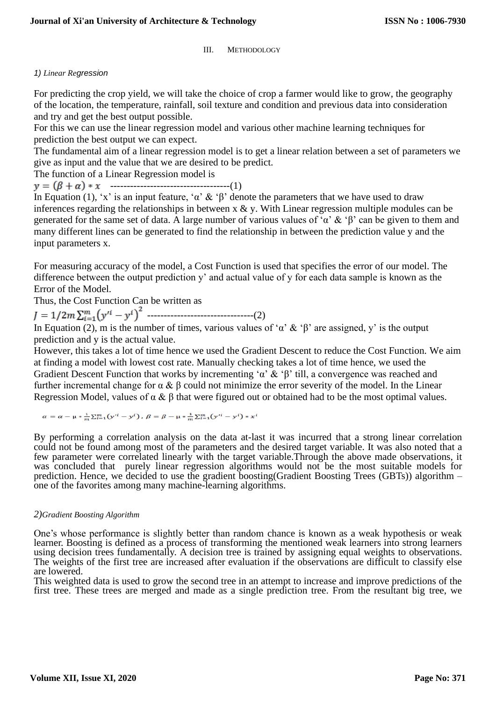III. METHODOLOGY

# *1) Linear Regression*

For predicting the crop yield, we will take the choice of crop a farmer would like to grow, the geography of the location, the temperature, rainfall, soil texture and condition and previous data into consideration and try and get the best output possible.

For this we can use the linear regression model and various other machine learning techniques for prediction the best output we can expect.

The fundamental aim of a linear regression model is to get a linear relation between a set of parameters we give as input and the value that we are desired to be predict.

The function of a Linear Regression model is

------------------------------------(1)

In Equation (1), 'x' is an input feature, ' $\alpha$ ' & ' $\beta$ ' denote the parameters that we have used to draw inferences regarding the relationships in between  $x \& y$ . With Linear regression multiple modules can be generated for the same set of data. A large number of various values of 'α' & 'β' can be given to them and many different lines can be generated to find the relationship in between the prediction value y and the input parameters x.

For measuring accuracy of the model, a Cost Function is used that specifies the error of our model. The difference between the output prediction y' and actual value of y for each data sample is known as the Error of the Model.

Thus, the Cost Function Can be written as

--------------------------------(2)

In Equation (2), m is the number of times, various values of 'α' & 'β' are assigned, y' is the output prediction and y is the actual value.

However, this takes a lot of time hence we used the Gradient Descent to reduce the Cost Function. We aim at finding a model with lowest cost rate. Manually checking takes a lot of time hence, we used the Gradient Descent Function that works by incrementing 'α' & 'β' till, a convergence was reached and further incremental change for α & β could not minimize the error severity of the model. In the Linear Regression Model, values of  $\alpha \& \beta$  that were figured out or obtained had to be the most optimal values.

 $\alpha = \alpha - \mu * \frac{1}{m} \sum_{i=1}^{m} (y'^i - y^i)$ ,  $\beta = \beta - \mu * \frac{1}{m} \sum_{i=1}^{m} (y'^i - y^i) * x^i$ 

By performing a correlation analysis on the data at-last it was incurred that a strong linear correlation could not be found among most of the parameters and the desired target variable. It was also noted that a few parameter were correlated linearly with the target variable.Through the above made observations, it was concluded that purely linear regression algorithms would not be the most suitable models for prediction. Hence, we decided to use the gradient boosting(Gradient Boosting Trees (GBTs)) algorithm – one of the favorites among many machine-learning algorithms.

## *2)Gradient Boosting Algorithm*

One's whose performance is slightly better than random chance is known as a weak hypothesis or weak learner. Boosting is defined as a process of transforming the mentioned weak learners into strong learners using decision trees fundamentally. A decision tree is trained by assigning equal weights to observations. The weights of the first tree are increased after evaluation if the observations are difficult to classify else are lowered.

This weighted data is used to grow the second tree in an attempt to increase and improve predictions of the first tree. These trees are merged and made as a single prediction tree. From the resultant big tree, we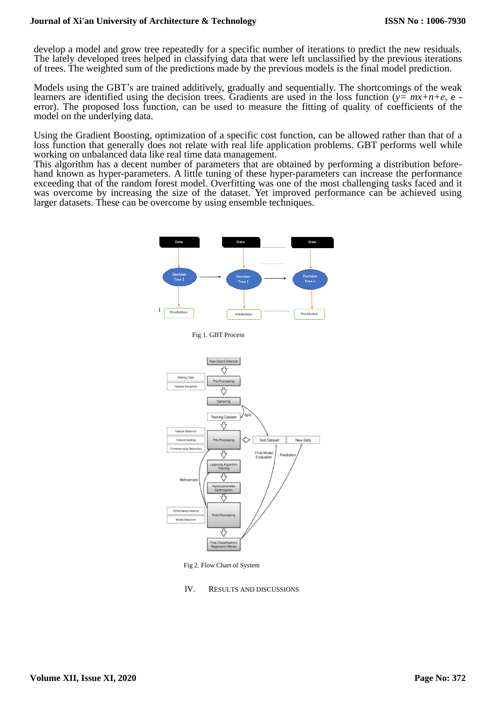## **Journal of Xi'an University of Architecture & Technology**

develop a model and grow tree repeatedly for a specific number of iterations to predict the new residuals. The lately developed trees helped in classifying data that were left unclassified by the previous iterations of trees. The weighted sum of the predictions made by the previous models is the final model prediction.

Models using the GBT's are trained additively, gradually and sequentially. The shortcomings of the weak learners are identified using the decision trees. Gradients are used in the loss function (*y= mx+n+e,* e error). The proposed loss function, can be used to measure the fitting of quality of coefficients of the model on the underlying data.

Using the Gradient Boosting, optimization of a specific cost function, can be allowed rather than that of a loss function that generally does not relate with real life application problems. GBT performs well while working on unbalanced data like real time data management.

This algorithm has a decent number of parameters that are obtained by performing a distribution beforehand known as hyper-parameters. A little tuning of these hyper-parameters can increase the performance exceeding that of the random forest model. Overfitting was one of the most challenging tasks faced and it was overcome by increasing the size of the dataset. Yet improved performance can be achieved using larger datasets. These can be overcome by using ensemble techniques.



Fig 2. Flow Chart of System

IV. RESULTS AND DISCUSSIONS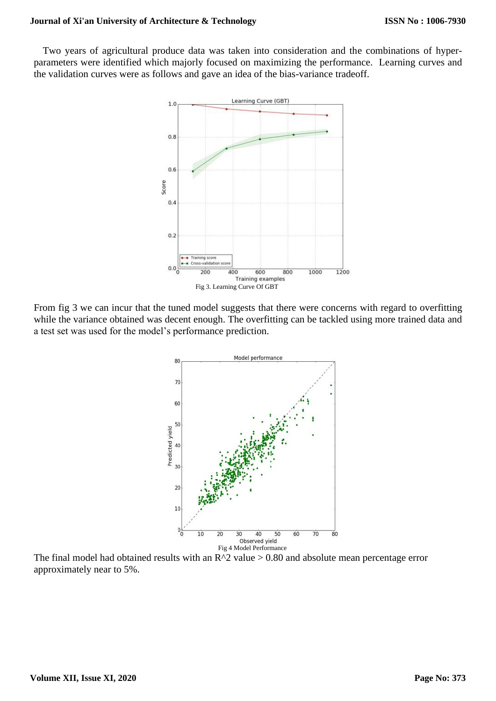Two years of agricultural produce data was taken into consideration and the combinations of hyperparameters were identified which majorly focused on maximizing the performance. Learning curves and the validation curves were as follows and gave an idea of the bias-variance tradeoff.



From fig 3 we can incur that the tuned model suggests that there were concerns with regard to overfitting while the variance obtained was decent enough. The overfitting can be tackled using more trained data and a test set was used for the model's performance prediction.



The final model had obtained results with an  $R^2$  value > 0.80 and absolute mean percentage error approximately near to 5%.